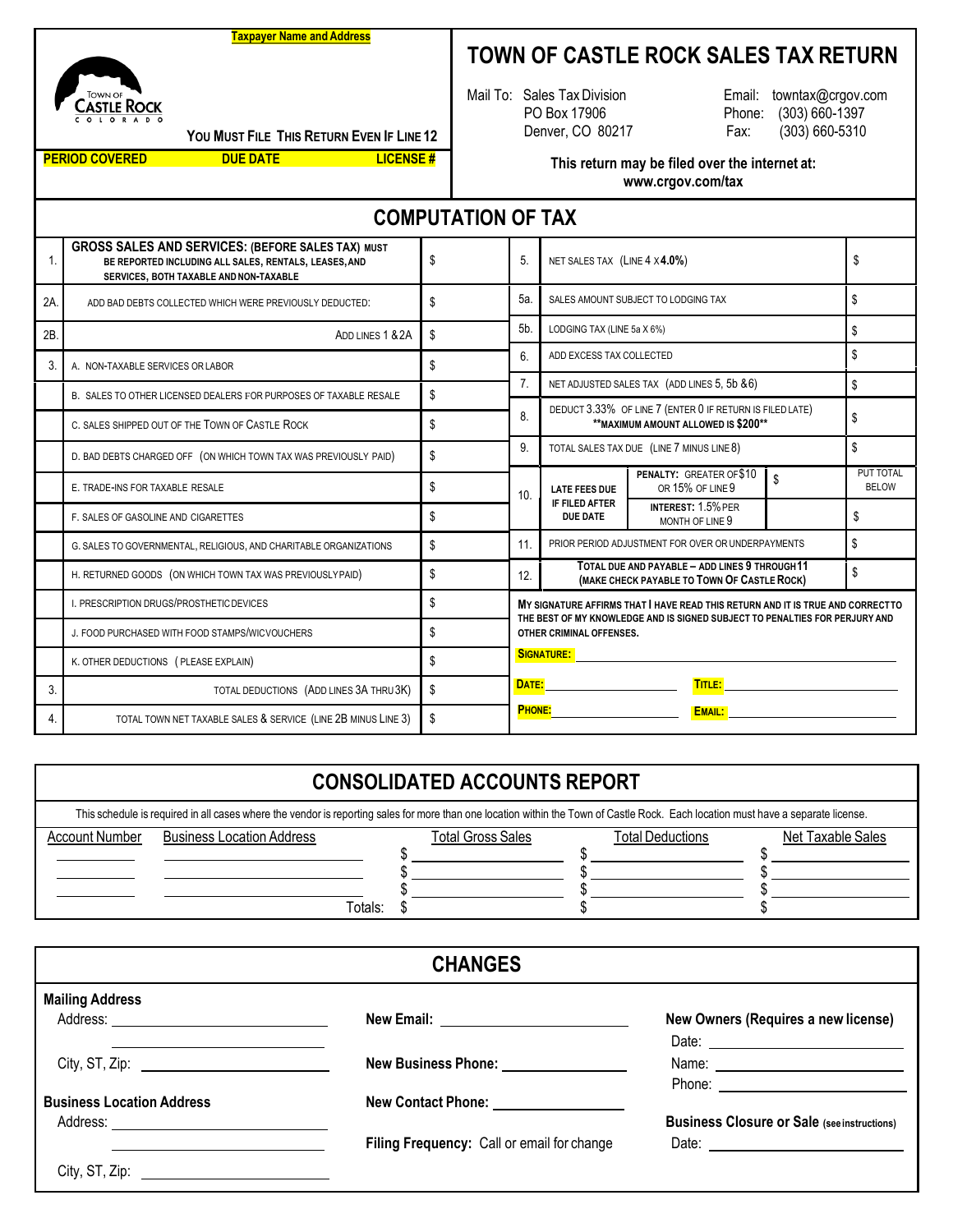## **Taxpayer Name and Address**

## **TOWN OF CASTLE ROCK SALES TAX RETURN**

Email: [towntax@crgov.com](mailto:towntax@crgov.com) Phone: (303) 660-1397 Fax: (303) 660-5310



**YOU MUST FILE THIS RETURN EVEN IF LINE 12**

**PERIOD COVERED DUE DATE LICENSE #**

**This return may be filed over the internet at: [www.crgov.com/tax](http://www.crgov.com/tax)**

Mail To: Sales TaxDivision PO Box 17906 Denver, CO 80217

**COMPUTATION OF TAX** 1. **GROSS SALES AND SERVICES: (BEFORE SALES TAX) MUST BE REPORTED INCLUDING ALL SALES, RENTALS, LEASES,AND SERVICES, BOTH TAXABLE ANDNON-TAXABLE** \$ 5. NET SALES TAX (LINE 4 X **4.0%**) \$ 2A. ADD BAD DEBTS COLLECTED WHICH WERE PREVIOUSLY DEDUCTED: \$ \$ 2B. 3. A. NON-TAXABLE SERVICES OR LABOR 8. B. SALES TO OTHER LICENSED DEALERS FOR PURPOSES OF TAXABLE RESALE 9. C. SALES SHIPPED OUT OF THE TOWN OF CASTLE ROCK 5 10. **LATE FEES DUE IF FILED AFTER DUE DATE** D. BAD DEBTS CHARGED OFF (ON WHICH TOWN TAX WAS PREVIOUSLY PAID) \\$ E. TRADE-INS FOR TAXABLE RESALE **EXALCULATE SERVICE A EXALCULATE SERVICE A EXALCULATE EXACULATE SERVICE A EXACULATE EXACULATE SERVICE A EXACULATE EXACULATE EXACULATE EXACULATE EXACULATE EXACULATE PER SOFT AND SERVI** 11. PRIOR PERIOD ADJUSTMENT FOR OVER OR UNDERPAYMENTS **\$** F. SALES OF GASOLINE AND CIGARETTES **\$** \$ 12. MAKE CHECK PAYABLE - ADD LINES 3 THROUGH TT G. SALES TO GOVERNMENTAL, RELIGIOUS, AND CHARITABLE ORGANIZATIONS **\$** H. RETURNED GOODS (ON WHICH TOWN TAX WAS PREVIOUSLYPAID) \$ **SIGNATURE: DATE: TITLE: PHONE: EMAIL:**  I. PRESCRIPTION DRUGS/PROSTHETIC DEVICES J. FOOD PURCHASED WITH FOOD STAMPS/WICVOUCHERS  $\$\$ K. OTHER DEDUCTIONS (PLEASE EXPLAIN) 3. TOTAL DEDUCTIONS (ADD LINES 3A THRU3K) \$ 4. TOTAL TOWN NET TAXABLE SALES & SERVICE (LINE 2B MINUS LINE 3) \$ **INTEREST:** 1.5% PER MONTH OF LINE 9 \$ **PENALTY:** GREATER OF \$10 OR 15% OF LINE 9 PUT TOTAL **BELOW** TOTAL SALES TAX DUE (LINE 7 MINUS LINE 8) \$ DEDUCT 3.33% OF LINE 7 (ENTER 0 IF RETURN IS FILED LATE) **\*\*MAXIMUM AMOUNT ALLOWED IS \$200\*\*** 7. NET ADJUSTED SALES TAX (ADD LINES 5, 5b & 6) 6. ADD EXCESS TAX COLLECTED 5a. 5b. SALES AMOUNT SUBJECT TO LODGING TAX LODGING TAX (LINE 5a X 6%)  $\$\$ \$ **MY SIGNATURE AFFIRMS THAT I HAVE READ THIS RETURN AND IT IS TRUE AND CORRECT TO THE BEST OF MY KNOWLEDGE AND IS SIGNED SUBJECT TO PENALTIES FOR PERJURY AND OTHER CRIMINAL OFFENSES. TOTAL DUE AND PAYABLE – ADD LINES 9 THROUGH 11**

## **CONSOLIDATED ACCOUNTS REPORT**

| This schedule is required in all cases where the vendor is reporting sales for more than one location within the Town of Castle Rock. Each location must have a separate license. |                                  |                          |                         |                   |  |  |
|-----------------------------------------------------------------------------------------------------------------------------------------------------------------------------------|----------------------------------|--------------------------|-------------------------|-------------------|--|--|
| <b>Account Number</b>                                                                                                                                                             | <b>Business Location Address</b> | <b>Total Gross Sales</b> | <b>Total Deductions</b> | Net Taxable Sales |  |  |
|                                                                                                                                                                                   |                                  |                          |                         |                   |  |  |
|                                                                                                                                                                                   |                                  |                          |                         |                   |  |  |
|                                                                                                                                                                                   |                                  |                          |                         |                   |  |  |
|                                                                                                                                                                                   | Totals:                          |                          |                         |                   |  |  |

| <b>CHANGES</b>                        |                                            |                                                    |  |  |
|---------------------------------------|--------------------------------------------|----------------------------------------------------|--|--|
| <b>Mailing Address</b>                |                                            |                                                    |  |  |
|                                       |                                            | New Owners (Requires a new license)                |  |  |
|                                       |                                            |                                                    |  |  |
|                                       | New Business Phone: <u>_____________</u>   |                                                    |  |  |
|                                       |                                            | Phone: <u>_____________________</u>                |  |  |
| <b>Business Location Address</b>      | New Contact Phone: <u>_____________</u>    |                                                    |  |  |
|                                       |                                            | <b>Business Closure or Sale (see instructions)</b> |  |  |
|                                       | Filing Frequency: Call or email for change |                                                    |  |  |
| City, ST, Zip: $\qquad \qquad \qquad$ |                                            |                                                    |  |  |